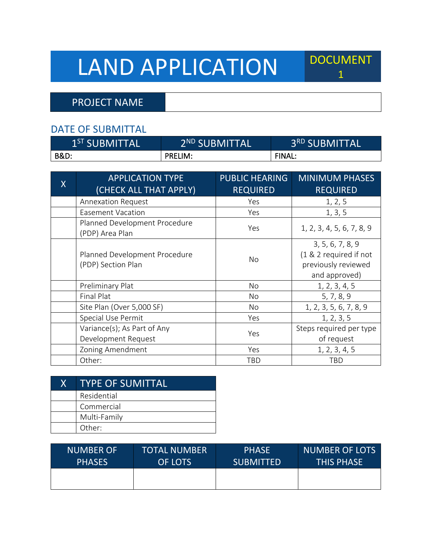# LAND APPLICATION DOCUMENT

PROJECT NAME

#### DATE OF SUBMITTAL

| 1 <sup>ST</sup> SUBMITTALI | 2 <sup>ND</sup> SUBMITTAL | 3 <sup>RD</sup> SUBMITTAL |
|----------------------------|---------------------------|---------------------------|
| <b>B&amp;D:</b>            | <b>PRELIM:</b>            | <b>FINAL:</b>             |

| $\sf X$ | <b>APPLICATION TYPE</b><br>(CHECK ALL THAT APPLY)   | <b>PUBLIC HEARING</b><br><b>REQUIRED</b> | <b>MINIMUM PHASES</b><br><b>REQUIRED</b>                                           |
|---------|-----------------------------------------------------|------------------------------------------|------------------------------------------------------------------------------------|
|         | <b>Annexation Request</b>                           | Yes                                      | 1, 2, 5                                                                            |
|         | Easement Vacation                                   | Yes                                      | 1, 3, 5                                                                            |
|         | Planned Development Procedure<br>(PDP) Area Plan    | Yes                                      | 1, 2, 3, 4, 5, 6, 7, 8, 9                                                          |
|         | Planned Development Procedure<br>(PDP) Section Plan | No.                                      | 3, 5, 6, 7, 8, 9<br>(1 & 2 required if not<br>previously reviewed<br>and approved) |
|         | Preliminary Plat                                    | No                                       | 1, 2, 3, 4, 5                                                                      |
|         | <b>Final Plat</b>                                   | No                                       | 5, 7, 8, 9                                                                         |
|         | Site Plan (Over 5,000 SF)                           | No                                       | 1, 2, 3, 5, 6, 7, 8, 9                                                             |
|         | Special Use Permit                                  | Yes                                      | 1, 2, 3, 5                                                                         |
|         | Variance(s); As Part of Any<br>Development Request  | Yes                                      | Steps required per type<br>of request                                              |
|         | Zoning Amendment                                    | Yes                                      | 1, 2, 3, 4, 5                                                                      |
|         | Other:                                              | TBD                                      | TBD                                                                                |

| X. | <b>TYPE OF SUMITTAL</b> |
|----|-------------------------|
|    | Residential             |
|    | Commercial              |
|    | Multi-Family            |
|    | Other:                  |

| <b>NUMBER OF</b> | TOTAL NUMBER | <b>PHASE</b>     | <b>NUMBER OF LOTS</b> |
|------------------|--------------|------------------|-----------------------|
| <b>PHASES</b>    | OF LOTS      | <b>SUBMITTED</b> | <b>THIS PHASE</b>     |
|                  |              |                  |                       |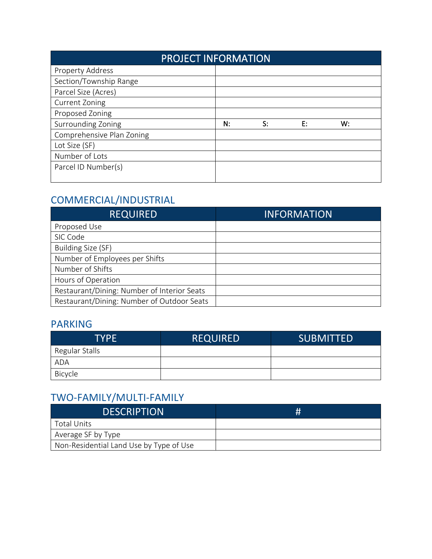|                           | <b>PROJECT INFORMATION</b> |    |    |    |  |
|---------------------------|----------------------------|----|----|----|--|
| Property Address          |                            |    |    |    |  |
| Section/Township Range    |                            |    |    |    |  |
| Parcel Size (Acres)       |                            |    |    |    |  |
| <b>Current Zoning</b>     |                            |    |    |    |  |
| Proposed Zoning           |                            |    |    |    |  |
| Surrounding Zoning        | N:                         | S: | F: | W: |  |
| Comprehensive Plan Zoning |                            |    |    |    |  |
| Lot Size (SF)             |                            |    |    |    |  |
| Number of Lots            |                            |    |    |    |  |
| Parcel ID Number(s)       |                            |    |    |    |  |
|                           |                            |    |    |    |  |

# COMMERCIAL/INDUSTRIAL

| <b>REQUIRED</b>                             | <b>INFORMATION</b> |
|---------------------------------------------|--------------------|
| Proposed Use                                |                    |
| SIC Code                                    |                    |
| Building Size (SF)                          |                    |
| Number of Employees per Shifts              |                    |
| Number of Shifts                            |                    |
| Hours of Operation                          |                    |
| Restaurant/Dining: Number of Interior Seats |                    |
| Restaurant/Dining: Number of Outdoor Seats  |                    |

#### PARKING

| <b>TYPE</b>    | <b>REQUIRED</b> | <b>SUBMITTED</b> |
|----------------|-----------------|------------------|
| Regular Stalls |                 |                  |
| <b>ADA</b>     |                 |                  |
| Bicycle        |                 |                  |

# TWO-FAMILY/MULTI-FAMILY

| <b>DESCRIPTION</b>                      | # |
|-----------------------------------------|---|
| Total Units                             |   |
| Average SF by Type                      |   |
| Non-Residential Land Use by Type of Use |   |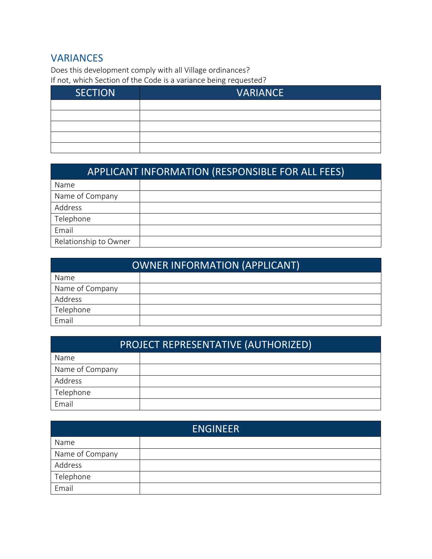## **VARIANCES**

Does this development comply with all Village ordinances?

If not, which Section of the Code is a variance being requested?

| <b>SECTION</b> | <b>VARIANCE</b> |
|----------------|-----------------|
|                |                 |
|                |                 |
|                |                 |
|                |                 |
|                |                 |

| <b>APPLICANT INFORMATION (RESPONSIBLE FOR ALL FEES)</b> |  |  |
|---------------------------------------------------------|--|--|
| Name                                                    |  |  |
| Name of Company                                         |  |  |
| Address                                                 |  |  |
| Telephone                                               |  |  |
| Email                                                   |  |  |
| Relationship to Owner                                   |  |  |

| OWNER INFORMATION (APPLICANT) |  |  |
|-------------------------------|--|--|
| <b>Name</b>                   |  |  |
| Name of Company               |  |  |
| Address                       |  |  |
| Telephone                     |  |  |
| Email                         |  |  |

| PROJECT REPRESENTATIVE (AUTHORIZED) |  |  |
|-------------------------------------|--|--|
| <b>Name</b>                         |  |  |
| Name of Company                     |  |  |
| Address                             |  |  |
| Telephone                           |  |  |
| Email                               |  |  |

| <b>ENGINEER</b> |  |  |  |
|-----------------|--|--|--|
| Name            |  |  |  |
| Name of Company |  |  |  |
| Address         |  |  |  |
| Telephone       |  |  |  |
| Email           |  |  |  |